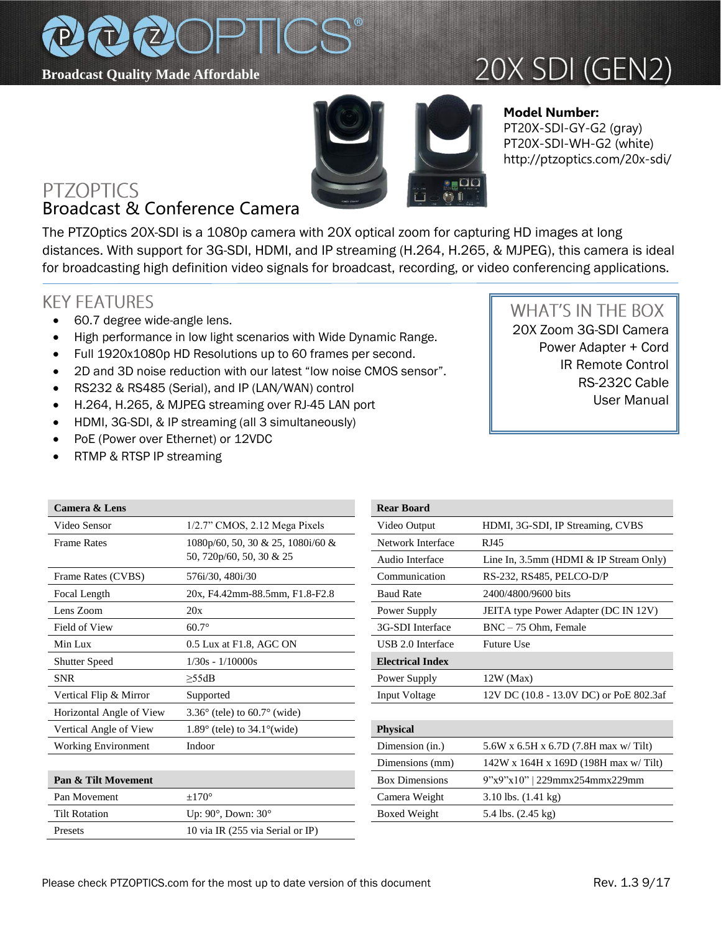

# 20X SDI (GEN2)



### **Model Number:**  PT20X-SDI-GY-G2 (gray) PT20X-SDI-WH-G2 (white) http://ptzoptics.com/20x-sdi/

### **PTZOPTICS** Broadcast & Conference Camera

The PTZOptics 20X-SDI is a 1080p camera with 20X optical zoom for capturing HD images at long distances. With support for 3G-SDI, HDMI, and IP streaming (H.264, H.265, & MJPEG), this camera is ideal for broadcasting high definition video signals for broadcast, recording, or video conferencing applications.

## **KEY FEATURES**

- 60.7 degree wide-angle lens.
- High performance in low light scenarios with Wide Dynamic Range.
- Full 1920x1080p HD Resolutions up to 60 frames per second.
- 2D and 3D noise reduction with our latest "low noise CMOS sensor".
- RS232 & RS485 (Serial), and IP (LAN/WAN) control
- H.264, H.265, & MJPEG streaming over RJ-45 LAN port
- HDMI, 3G-SDI, & IP streaming (all 3 simultaneously)
- PoE (Power over Ethernet) or 12VDC
- RTMP & RTSP IP streaming

## **WHAT'S IN THE BOX**

20X Zoom 3G-SDI Camera Power Adapter + Cord IR Remote Control RS-232C Cable User Manual

| Camera & Lens              |                                                 | <b>Rear Board</b>       |                                         |
|----------------------------|-------------------------------------------------|-------------------------|-----------------------------------------|
| Video Sensor               | 1/2.7" CMOS, 2.12 Mega Pixels                   | Video Output            | HDMI, 3G-SDI, IP Streaming, CVBS        |
| <b>Frame Rates</b>         | $1080p/60$ , 50, 30 & 25, 1080i/60 &            | Network Interface       | RJ45                                    |
|                            | 50, 720p/60, 50, 30 & 25                        | Audio Interface         | Line In, 3.5mm (HDMI & IP Stream Only)  |
| Frame Rates (CVBS)         | 576i/30, 480i/30                                | Communication           | RS-232, RS485, PELCO-D/P                |
| Focal Length               | 20x, F4.42mm-88.5mm, F1.8-F2.8                  | <b>Baud Rate</b>        | 2400/4800/9600 bits                     |
| Lens Zoom                  | 20x                                             | Power Supply            | JEITA type Power Adapter (DC IN 12V)    |
| Field of View              | $60.7^\circ$                                    | 3G-SDI Interface        | BNC - 75 Ohm, Female                    |
| Min Lux                    | 0.5 Lux at F1.8, AGC ON                         | USB 2.0 Interface       | <b>Future Use</b>                       |
| <b>Shutter Speed</b>       | $1/30s - 1/10000s$                              | <b>Electrical Index</b> |                                         |
| <b>SNR</b>                 | $\geq$ 55dB                                     | Power Supply            | $12W$ (Max)                             |
| Vertical Flip & Mirror     | Supported                                       | Input Voltage           | 12V DC (10.8 - 13.0V DC) or PoE 802.3af |
| Horizontal Angle of View   | $3.36^{\circ}$ (tele) to 60.7 $^{\circ}$ (wide) |                         |                                         |
| Vertical Angle of View     | $1.89^\circ$ (tele) to $34.1^\circ$ (wide)      | <b>Physical</b>         |                                         |
| <b>Working Environment</b> | Indoor                                          | Dimension (in.)         | 5.6W x 6.5H x 6.7D (7.8H max w/ Tilt)   |
|                            |                                                 | Dimensions (mm)         | $142W$ x 164H x 169D (198H max w/Tilt)  |
| Pan & Tilt Movement        |                                                 | <b>Box Dimensions</b>   | $9"x9"x10"$   229mmx254mmx229mm         |
| Pan Movement               | $\pm 170^\circ$                                 | Camera Weight           | $3.10$ lbs. $(1.41 \text{ kg})$         |
| <b>Tilt Rotation</b>       | Up: $90^\circ$ , Down: $30^\circ$               | <b>Boxed Weight</b>     | 5.4 lbs. $(2.45 \text{ kg})$            |

Presets 10 via IR (255 via Serial or IP)

| <b>Rear Board</b>       |                                           |  |
|-------------------------|-------------------------------------------|--|
| Video Output            | HDMI, 3G-SDI, IP Streaming, CVBS          |  |
| Network Interface       | R <sub>I45</sub>                          |  |
| Audio Interface         | Line In, $3.5$ mm (HDMI & IP Stream Only) |  |
| Communication           | RS-232, RS485, PELCO-D/P                  |  |
| <b>Baud Rate</b>        | 2400/4800/9600 bits                       |  |
| Power Supply            | JEITA type Power Adapter (DC IN 12V)      |  |
| 3G-SDI Interface        | $BNC - 75$ Ohm. Female                    |  |
| USB 2.0 Interface       | <b>Future Use</b>                         |  |
| <b>Electrical Index</b> |                                           |  |
|                         |                                           |  |
| Power Supply            | $12W$ (Max)                               |  |
| Input Voltage           | 12V DC (10.8 - 13.0V DC) or PoE 802.3af   |  |
|                         |                                           |  |
| <b>Physical</b>         |                                           |  |
| Dimension (in.)         | 5.6W x 6.5H x 6.7D (7.8H max w/ Tilt)     |  |
| Dimensions (mm)         | 142W x 164H x 169D (198H max w/Tilt)      |  |
| <b>Box Dimensions</b>   | $9"x9"x10"$   229mmx254mmx229mm           |  |
| Camera Weight           | $3.10$ lbs. $(1.41 \text{ kg})$           |  |
| Boxed Weight            | 5.4 lbs. (2.45 kg)                        |  |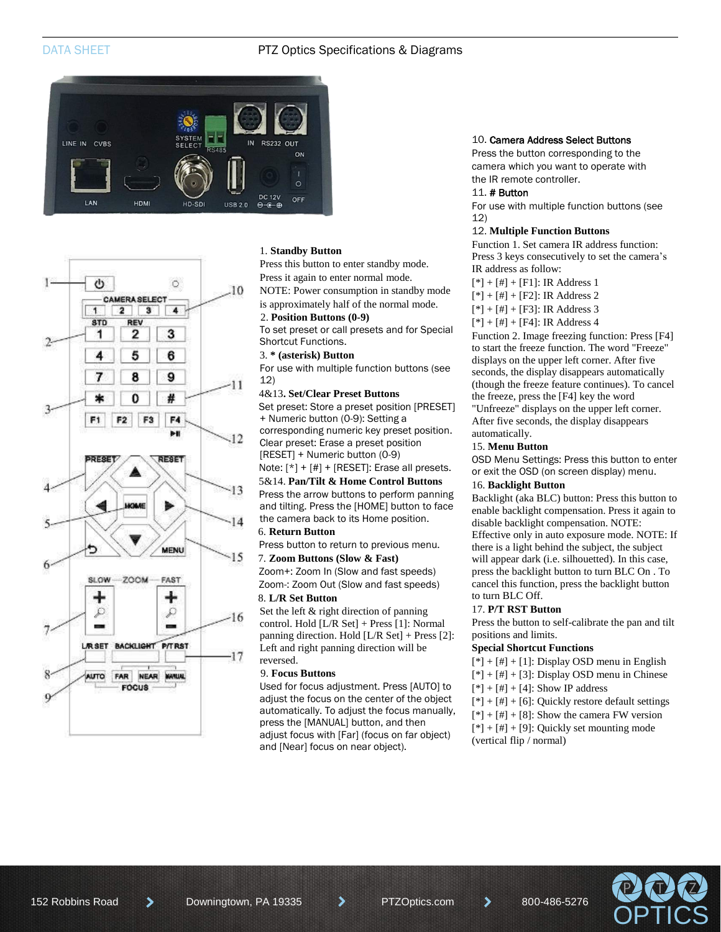#### DATA SHEET **PTZ Optics Specifications & Diagrams**





#### 1. **Standby Button**

Press this button to enter standby mode. Press it again to enter normal mode.

NOTE: Power consumption in standby mode is approximately half of the normal mode.

### 2. **Position Buttons (0-9)**

To set preset or call presets and for Special Shortcut Functions.

#### 3. **\* (asterisk) Button**

For use with multiple function buttons (see 12)

#### 4&13**. Set/Clear Preset Buttons**

Set preset: Store a preset position [PRESET] + Numeric button (0-9): Setting a

corresponding numeric key preset position. Clear preset: Erase a preset position

[RESET] + Numeric button (0-9)

Note:  $[ * ] + [ # ] + [RESET]$ : Erase all presets. 5&14. **Pan/Tilt & Home Control Buttons**

Press the arrow buttons to perform panning and tilting. Press the [HOME] button to face the camera back to its Home position.

#### 6. **Return Button**

Press button to return to previous menu.

#### 7. **Zoom Buttons (Slow & Fast)**

Zoom+: Zoom In (Slow and fast speeds) Zoom-: Zoom Out (Slow and fast speeds)

#### 8. **L/R Set Button**

Set the left & right direction of panning control. Hold [L/R Set] + Press [1]: Normal panning direction. Hold [L/R Set] + Press [2]: Left and right panning direction will be reversed.

#### 9. **Focus Buttons**

Used for focus adjustment. Press [AUTO] to adjust the focus on the center of the object automatically. To adjust the focus manually, press the [MANUAL] button, and then adjust focus with [Far] (focus on far object) and [Near] focus on near object).

#### 10. Camera Address Select Buttons

Press the button corresponding to the camera which you want to operate with the IR remote controller.

#### 11. # Button

For use with multiple function buttons (see 12)

#### 12. **Multiple Function Buttons**

Function 1. Set camera IR address function: Press 3 keys consecutively to set the camera's IR address as follow:

- $[*] + [#] + [F1]$ : IR Address 1
- $[*] + [#] + [F2]$ : IR Address 2
- $[*] + [#] + [F3]$ : IR Address 3
- $[*] + [#] + [F4]$ : IR Address 4

Function 2. Image freezing function: Press [F4] to start the freeze function. The word "Freeze" displays on the upper left corner. After five seconds, the display disappears automatically (though the freeze feature continues). To cancel the freeze, press the [F4] key the word "Unfreeze" displays on the upper left corner. After five seconds, the display disappears automatically.

#### 15. **Menu Button**

OSD Menu Settings: Press this button to enter or exit the OSD (on screen display) menu.

#### 16. **Backlight Button**

Backlight (aka BLC) button: Press this button to enable backlight compensation. Press it again to disable backlight compensation. NOTE: Effective only in auto exposure mode. NOTE: If there is a light behind the subject, the subject will appear dark (i.e. silhouetted). In this case, press the backlight button to turn BLC On . To cancel this function, press the backlight button to turn BLC Off.

#### 17. **P/T RST Button**

Press the button to self-calibrate the pan and tilt positions and limits.

#### **Special Shortcut Functions**

- $[$ \*] +  $[$ #] +  $[1]$ : Display OSD menu in English
- $[*] +[*] + [3]$ : Display OSD menu in Chinese
- $[$ \*] +  $[$ #] +  $[4]$ : Show IP address
- $[*] + [#] + [6]$ : Quickly restore default settings
- $[*] + [#] + [8]$ : Show the camera FW version
- $[*] + [#] + [9]$ : Quickly set mounting mode (vertical flip / normal)